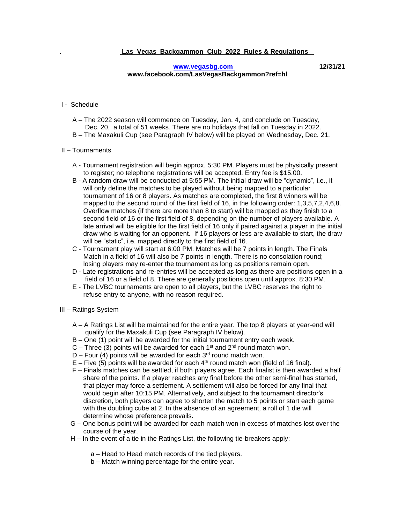## **[www.vegasbg.com](http://www.vegasbg.com/) 12/31/21 www.facebook.com/LasVegasBackgammon?ref=hl**

## I - Schedule

- A The 2022 season will commence on Tuesday, Jan. 4, and conclude on Tuesday, Dec. 20, a total of 51 weeks. There are no holidays that fall on Tuesday in 2022.
- B The Maxakuli Cup (see Paragraph IV below) will be played on Wednesday, Dec. 21.

## II – Tournaments

- A Tournament registration will begin approx. 5:30 PM. Players must be physically present to register; no telephone registrations will be accepted. Entry fee is \$15.00.
- B A random draw will be conducted at 5:55 PM. The initial draw will be "dynamic", i.e., it will only define the matches to be played without being mapped to a particular tournament of 16 or 8 players. As matches are completed, the first 8 winners will be mapped to the second round of the first field of 16, in the following order: 1,3,5,7,2,4,6,8. Overflow matches (if there are more than 8 to start) will be mapped as they finish to a second field of 16 or the first field of 8, depending on the number of players available. A late arrival will be eligible for the first field of 16 only if paired against a player in the initial draw who is waiting for an opponent. If 16 players or less are available to start, the draw will be "static", i.e. mapped directly to the first field of 16.
- C Tournament play will start at 6:00 PM. Matches will be 7 points in length. The Finals Match in a field of 16 will also be 7 points in length. There is no consolation round; losing players may re-enter the tournament as long as positions remain open.
- D Late registrations and re-entries will be accepted as long as there are positions open in a field of 16 or a field of 8. There are generally positions open until approx. 8:30 PM.
- E The LVBC tournaments are open to all players, but the LVBC reserves the right to refuse entry to anyone, with no reason required.
- III Ratings System
	- A A Ratings List will be maintained for the entire year. The top 8 players at year-end will qualify for the Maxakuli Cup (see Paragraph IV below).
	- B One (1) point will be awarded for the initial tournament entry each week.
	- $C$  Three (3) points will be awarded for each 1<sup>st</sup> and 2<sup>nd</sup> round match won.
	- $D$  Four (4) points will be awarded for each 3<sup>rd</sup> round match won.
	- $E$  Five (5) points will be awarded for each  $4<sup>th</sup>$  round match won (field of 16 final).
	- F Finals matches can be settled, if both players agree. Each finalist is then awarded a half share of the points. If a player reaches any final before the other semi-final has started, that player may force a settlement. A settlement will also be forced for any final that would begin after 10:15 PM. Alternatively, and subject to the tournament director's discretion, both players can agree to shorten the match to 5 points or start each game with the doubling cube at 2. In the absence of an agreement, a roll of 1 die will determine whose preference prevails.
	- G One bonus point will be awarded for each match won in excess of matches lost over the course of the year.
	- H In the event of a tie in the Ratings List, the following tie-breakers apply:
		- a Head to Head match records of the tied players.
		- b Match winning percentage for the entire year.